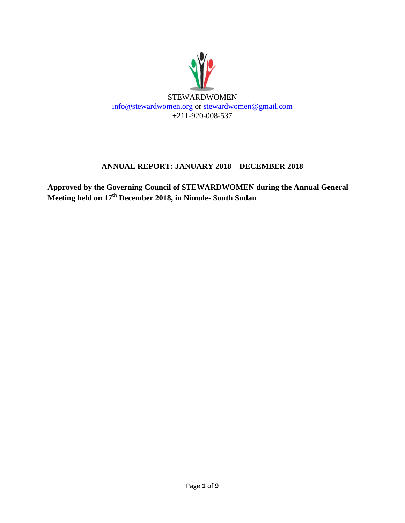

### **ANNUAL REPORT: JANUARY 2018 – DECEMBER 2018**

**Approved by the Governing Council of STEWARDWOMEN during the Annual General Meeting held on 17th December 2018, in Nimule- South Sudan**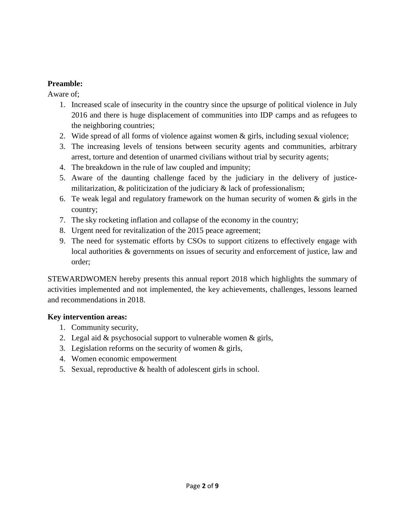#### **Preamble:**

Aware of;

- 1. Increased scale of insecurity in the country since the upsurge of political violence in July 2016 and there is huge displacement of communities into IDP camps and as refugees to the neighboring countries;
- 2. Wide spread of all forms of violence against women & girls, including sexual violence;
- 3. The increasing levels of tensions between security agents and communities, arbitrary arrest, torture and detention of unarmed civilians without trial by security agents;
- 4. The breakdown in the rule of law coupled and impunity;
- 5. Aware of the daunting challenge faced by the judiciary in the delivery of justicemilitarization,  $\&$  politicization of the judiciary  $\&$  lack of professionalism;
- 6. Te weak legal and regulatory framework on the human security of women & girls in the country;
- 7. The sky rocketing inflation and collapse of the economy in the country;
- 8. Urgent need for revitalization of the 2015 peace agreement;
- 9. The need for systematic efforts by CSOs to support citizens to effectively engage with local authorities & governments on issues of security and enforcement of justice, law and order;

STEWARDWOMEN hereby presents this annual report 2018 which highlights the summary of activities implemented and not implemented, the key achievements, challenges, lessons learned and recommendations in 2018.

#### **Key intervention areas:**

- 1. Community security,
- 2. Legal aid & psychosocial support to vulnerable women & girls,
- 3. Legislation reforms on the security of women & girls,
- 4. Women economic empowerment
- 5. Sexual, reproductive & health of adolescent girls in school.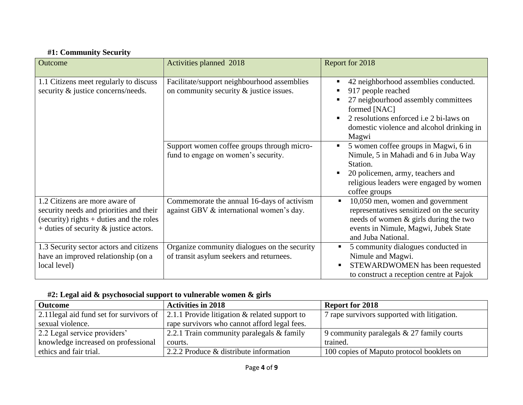# **#1: Community Security**

| Outcome                                                                                                                                                                | Activities planned 2018                                                                  | Report for 2018                                                                                                                                                                                                            |
|------------------------------------------------------------------------------------------------------------------------------------------------------------------------|------------------------------------------------------------------------------------------|----------------------------------------------------------------------------------------------------------------------------------------------------------------------------------------------------------------------------|
| 1.1 Citizens meet regularly to discuss<br>security & justice concerns/needs.                                                                                           | Facilitate/support neighbourhood assemblies<br>on community security $&$ justice issues. | 42 neighborhood assemblies conducted.<br>917 people reached<br>27 neigbourhood assembly committees<br>formed [NAC]<br>2 resolutions enforced <i>i.e</i> 2 bi-laws on<br>domestic violence and alcohol drinking in<br>Magwi |
|                                                                                                                                                                        | Support women coffee groups through micro-<br>fund to engage on women's security.        | 5 women coffee groups in Magwi, 6 in<br>Nimule, 5 in Mahadi and 6 in Juba Way<br>Station.<br>20 policemen, army, teachers and<br>religious leaders were engaged by women<br>coffee groups                                  |
| 1.2 Citizens are more aware of<br>security needs and priorities and their<br>(security) rights $+$ duties and the roles<br>$+$ duties of security $\&$ justice actors. | Commemorate the annual 16-days of activism<br>against GBV & international women's day.   | 10,050 men, women and government<br>$\blacksquare$<br>representatives sensitized on the security<br>needs of women & girls during the two<br>events in Nimule, Magwi, Jubek State<br>and Juba National.                    |
| 1.3 Security sector actors and citizens<br>have an improved relationship (on a<br>local level)                                                                         | Organize community dialogues on the security<br>of transit asylum seekers and returnees. | 5 community dialogues conducted in<br>Nimule and Magwi.<br>STEWARDWOMEN has been requested<br>to construct a reception centre at Pajok                                                                                     |

### **#2: Legal aid & psychosocial support to vulnerable women & girls**

| <b>Outcome</b>                      | <b>Activities in 2018</b>                                                              | <b>Report for 2018</b>                      |
|-------------------------------------|----------------------------------------------------------------------------------------|---------------------------------------------|
|                                     | 2.11 legal aid fund set for survivors of 2.1.1 Provide litigation & related support to | 7 rape survivors supported with litigation. |
| sexual violence.                    | rape survivors who cannot afford legal fees.                                           |                                             |
| 2.2 Legal service providers'        | 2.2.1 Train community paralegals & family                                              | 9 community paralegals $& 27$ family courts |
| knowledge increased on professional | courts.                                                                                | trained.                                    |
| ethics and fair trial.              | 2.2.2 Produce & distribute information                                                 | 100 copies of Maputo protocol booklets on   |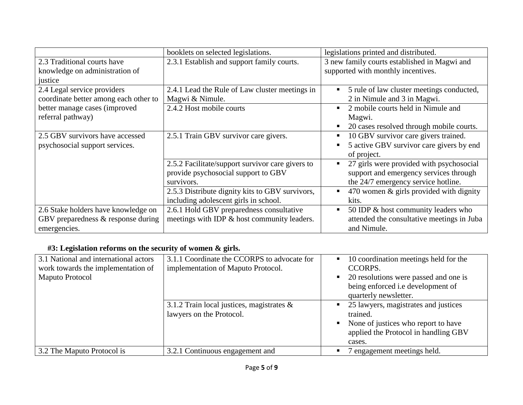|                                                                                           | booklets on selected legislations.                                                                    | legislations printed and distributed.                                                                                          |
|-------------------------------------------------------------------------------------------|-------------------------------------------------------------------------------------------------------|--------------------------------------------------------------------------------------------------------------------------------|
| 2.3 Traditional courts have<br>knowledge on administration of<br>justice                  | 2.3.1 Establish and support family courts.                                                            | 3 new family courts established in Magwi and<br>supported with monthly incentives.                                             |
| 2.4 Legal service providers<br>coordinate better among each other to                      | 2.4.1 Lead the Rule of Law cluster meetings in<br>Magwi & Nimule.                                     | 5 rule of law cluster meetings conducted,<br>$\blacksquare$<br>2 in Nimule and 3 in Magwi.                                     |
| better manage cases (improved<br>referral pathway)                                        | 2.4.2 Host mobile courts                                                                              | 2 mobile courts held in Nimule and<br>$\blacksquare$<br>Magwi.<br>20 cases resolved through mobile courts.<br>п                |
| 2.5 GBV survivors have accessed<br>psychosocial support services.                         | 2.5.1 Train GBV survivor care givers.                                                                 | 10 GBV survivor care givers trained.<br>п<br>5 active GBV survivor care givers by end<br>п<br>of project.                      |
|                                                                                           | 2.5.2 Facilitate/support survivor care givers to<br>provide psychosocial support to GBV<br>survivors. | 27 girls were provided with psychosocial<br>п<br>support and emergency services through<br>the 24/7 emergency service hotline. |
|                                                                                           | 2.5.3 Distribute dignity kits to GBV survivors,<br>including adolescent girls in school.              | 470 women & girls provided with dignity<br>$\blacksquare$<br>kits.                                                             |
| 2.6 Stake holders have knowledge on<br>GBV preparedness & response during<br>emergencies. | 2.6.1 Hold GBV preparedness consultative<br>meetings with IDP & host community leaders.               | 50 IDP & host community leaders who<br>$\blacksquare$<br>attended the consultative meetings in Juba<br>and Nimule.             |

# **#3: Legislation reforms on the security of women & girls.**

| 3.1 National and international actors<br>work towards the implementation of<br><b>Maputo Protocol</b> | 3.1.1 Coordinate the CCORPS to advocate for<br>implementation of Maputo Protocol. | 10 coordination meetings held for the<br>CCORPS.<br>20 resolutions were passed and one is<br>being enforced i.e development of<br>quarterly newsletter. |
|-------------------------------------------------------------------------------------------------------|-----------------------------------------------------------------------------------|---------------------------------------------------------------------------------------------------------------------------------------------------------|
|                                                                                                       | 3.1.2 Train local justices, magistrates $\&$<br>lawyers on the Protocol.          | 25 lawyers, magistrates and justices<br>trained.<br>None of justices who report to have<br>applied the Protocol in handling GBV<br>cases.               |
| 3.2 The Maputo Protocol is                                                                            | 3.2.1 Continuous engagement and                                                   | ' engagement meetings held.                                                                                                                             |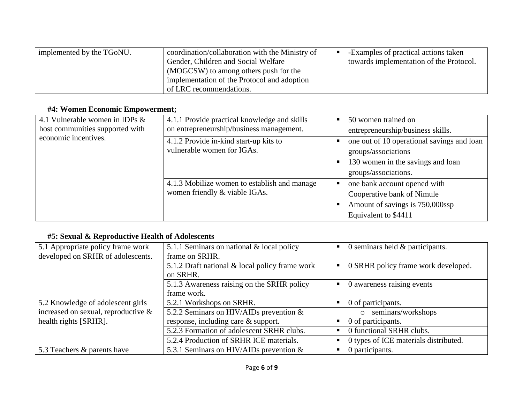| implemented by the TGoNU. | coordination/collaboration with the Ministry of<br>Gender, Children and Social Welfare<br>(MOGCSW) to among others push for the | -Examples of practical actions taken<br>towards implementation of the Protocol. |
|---------------------------|---------------------------------------------------------------------------------------------------------------------------------|---------------------------------------------------------------------------------|
|                           | implementation of the Protocol and adoption<br>of LRC recommendations.                                                          |                                                                                 |

# **#4: Women Economic Empowerment;**

| 4.1 Vulnerable women in IDPs $&$<br>host communities supported with | 4.1.1 Provide practical knowledge and skills<br>on entrepreneurship/business management. | 50 women trained on<br>$\blacksquare$<br>entrepreneurship/business skills.                                                               |
|---------------------------------------------------------------------|------------------------------------------------------------------------------------------|------------------------------------------------------------------------------------------------------------------------------------------|
| economic incentives.                                                | 4.1.2 Provide in-kind start-up kits to<br>vulnerable women for IGAs.                     | one out of 10 operational savings and loan<br>٠<br>groups/associations<br>130 women in the savings and loan<br>п<br>groups/associations. |
|                                                                     | 4.1.3 Mobilize women to establish and manage<br>women friendly & viable IGAs.            | one bank account opened with<br>٠<br>Cooperative bank of Nimule<br>Amount of savings is 750,000ssp<br>Equivalent to \$4411               |

## **#5: Sexual & Reproductive Health of Adolescents**

| 5.1 Appropriate policy frame work<br>developed on SRHR of adolescents. | 5.1.1 Seminars on national & local policy<br>frame on SRHR. | 0 seminars held $\&$ participants.    |
|------------------------------------------------------------------------|-------------------------------------------------------------|---------------------------------------|
|                                                                        | 5.1.2 Draft national & local policy frame work<br>on SRHR.  | 0 SRHR policy frame work developed.   |
|                                                                        | 5.1.3 Awareness raising on the SRHR policy<br>frame work.   | 0 awareness raising events            |
| 5.2 Knowledge of adolescent girls                                      | 5.2.1 Workshops on SRHR.                                    | 0 of participants.                    |
| increased on sexual, reproductive $\&$                                 | 5.2.2 Seminars on HIV/AIDs prevention &                     | seminars/workshops<br>$\circ$         |
| health rights [SRHR].                                                  | response, including care & support.                         | 0 of participants.                    |
|                                                                        | 5.2.3 Formation of adolescent SRHR clubs.                   | 0 functional SRHR clubs.              |
|                                                                        | 5.2.4 Production of SRHR ICE materials.                     | 0 types of ICE materials distributed. |
| 5.3 Teachers & parents have                                            | 5.3.1 Seminars on HIV/AIDs prevention $\&$                  | 0 participants.                       |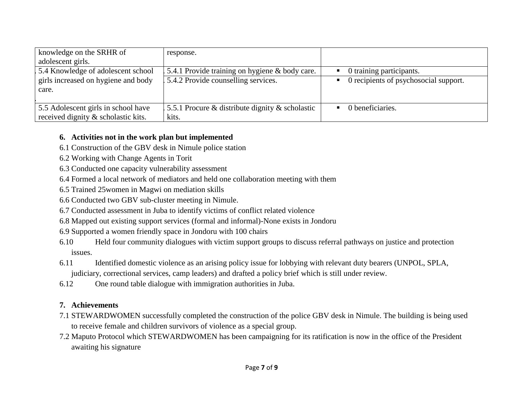| knowledge on the SRHR of<br>adolescent girls. | response.                                             |                                                      |
|-----------------------------------------------|-------------------------------------------------------|------------------------------------------------------|
| 5.4 Knowledge of adolescent school            | 5.4.1 Provide training on hygiene & body care.        | $\blacksquare$ 0 training participants.              |
| girls increased on hygiene and body           | 5.4.2 Provide counselling services.                   | $\blacksquare$ 0 recipients of psychosocial support. |
| care.                                         |                                                       |                                                      |
|                                               |                                                       |                                                      |
| 5.5 Adolescent girls in school have           | 5.5.1 Procure $\&$ distribute dignity $\&$ scholastic | $\blacksquare$ 0 beneficiaries.                      |
| received dignity & scholastic kits.           | kits.                                                 |                                                      |

#### **6. Activities not in the work plan but implemented**

- 6.1 Construction of the GBV desk in Nimule police station
- 6.2 Working with Change Agents in Torit
- 6.3 Conducted one capacity vulnerability assessment
- 6.4 Formed a local network of mediators and held one collaboration meeting with them
- 6.5 Trained 25women in Magwi on mediation skills
- 6.6 Conducted two GBV sub-cluster meeting in Nimule.
- 6.7 Conducted assessment in Juba to identify victims of conflict related violence
- 6.8 Mapped out existing support services (formal and informal)-None exists in Jondoru
- 6.9 Supported a women friendly space in Jondoru with 100 chairs
- 6.10 Held four community dialogues with victim support groups to discuss referral pathways on justice and protection issues.
- 6.11 Identified domestic violence as an arising policy issue for lobbying with relevant duty bearers (UNPOL, SPLA, judiciary, correctional services, camp leaders) and drafted a policy brief which is still under review.
- 6.12 One round table dialogue with immigration authorities in Juba.

### **7. Achievements**

- 7.1 STEWARDWOMEN successfully completed the construction of the police GBV desk in Nimule. The building is being used to receive female and children survivors of violence as a special group.
- 7.2 Maputo Protocol which STEWARDWOMEN has been campaigning for its ratification is now in the office of the President awaiting his signature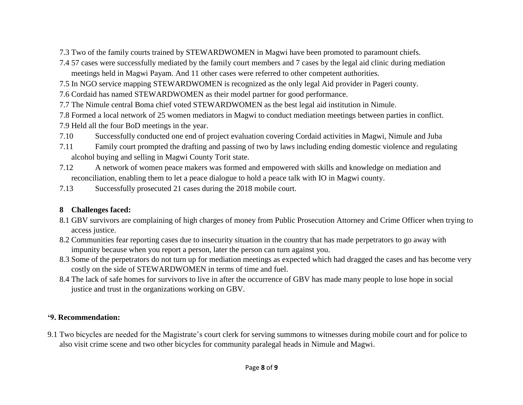- 7.3 Two of the family courts trained by STEWARDWOMEN in Magwi have been promoted to paramount chiefs.
- 7.4 57 cases were successfully mediated by the family court members and 7 cases by the legal aid clinic during mediation meetings held in Magwi Payam. And 11 other cases were referred to other competent authorities.
- 7.5 In NGO service mapping STEWARDWOMEN is recognized as the only legal Aid provider in Pageri county.
- 7.6 Cordaid has named STEWARDWOMEN as their model partner for good performance.
- 7.7 The Nimule central Boma chief voted STEWARDWOMEN as the best legal aid institution in Nimule.
- 7.8 Formed a local network of 25 women mediators in Magwi to conduct mediation meetings between parties in conflict.
- 7.9 Held all the four BoD meetings in the year.
- 7.10 Successfully conducted one end of project evaluation covering Cordaid activities in Magwi, Nimule and Juba
- 7.11 Family court prompted the drafting and passing of two by laws including ending domestic violence and regulating alcohol buying and selling in Magwi County Torit state.
- 7.12 A network of women peace makers was formed and empowered with skills and knowledge on mediation and reconciliation, enabling them to let a peace dialogue to hold a peace talk with IO in Magwi county.
- 7.13 Successfully prosecuted 21 cases during the 2018 mobile court.

## **8 Challenges faced:**

- 8.1 GBV survivors are complaining of high charges of money from Public Prosecution Attorney and Crime Officer when trying to access justice.
- 8.2 Communities fear reporting cases due to insecurity situation in the country that has made perpetrators to go away with impunity because when you report a person, later the person can turn against you.
- 8.3 Some of the perpetrators do not turn up for mediation meetings as expected which had dragged the cases and has become very costly on the side of STEWARDWOMEN in terms of time and fuel.
- 8.4 The lack of safe homes for survivors to live in after the occurrence of GBV has made many people to lose hope in social justice and trust in the organizations working on GBV.

## **'9. Recommendation:**

9.1 Two bicycles are needed for the Magistrate's court clerk for serving summons to witnesses during mobile court and for police to also visit crime scene and two other bicycles for community paralegal heads in Nimule and Magwi.